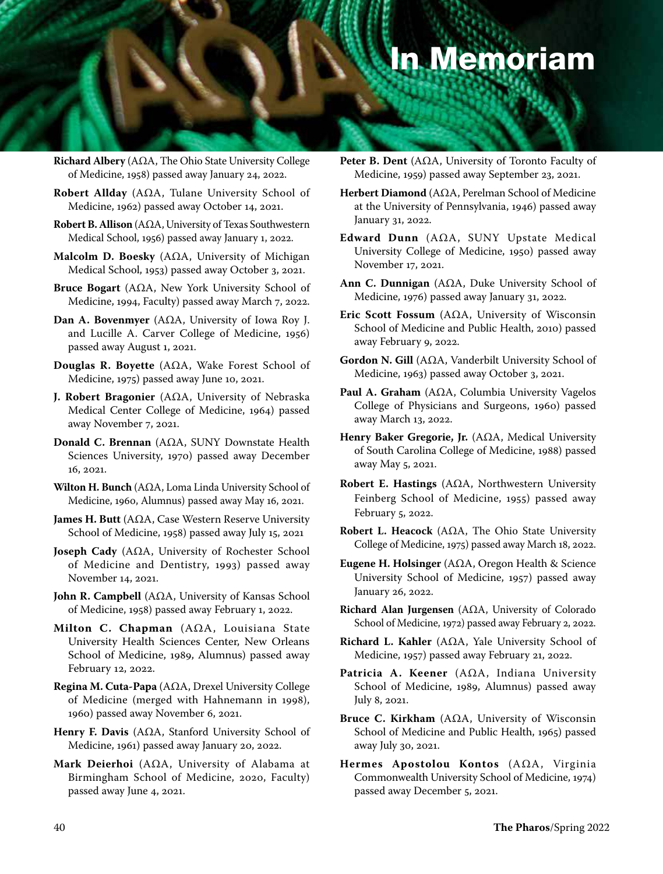## In Memoriam

**Richard Albery** (AΩA, The Ohio State University College of Medicine, 1958) passed away January 24, 2022.

- **Robert Allday** (AΩA, Tulane University School of Medicine, 1962) passed away October 14, 2021.
- **Robert B. Allison** (AΩA, University of Texas Southwestern Medical School, 1956) passed away January 1, 2022.
- **Malcolm D. Boesky** (AΩA, University of Michigan Medical School, 1953) passed away October 3, 2021.
- **Bruce Bogart** (AΩA, New York University School of Medicine, 1994, Faculty) passed away March 7, 2022.
- **Dan A. Bovenmyer** (AΩA, University of Iowa Roy J. and Lucille A. Carver College of Medicine, 1956) passed away August 1, 2021.
- **Douglas R. Boyette** (AΩA, Wake Forest School of Medicine, 1975) passed away June 10, 2021.
- **J. Robert Bragonier** (AΩA, University of Nebraska Medical Center College of Medicine, 1964) passed away November 7, 2021.
- **Donald C. Brennan** (AΩA, SUNY Downstate Health Sciences University, 1970) passed away December 16, 2021.
- **Wilton H. Bunch** (AΩA, Loma Linda University School of Medicine, 1960, Alumnus) passed away May 16, 2021.
- **James H. Butt** (AΩA, Case Western Reserve University School of Medicine, 1958) passed away July 15, 2021
- **Joseph Cady** (AΩA, University of Rochester School of Medicine and Dentistry, 1993) passed away November 14, 2021.
- **John R. Campbell** (AΩA, University of Kansas School of Medicine, 1958) passed away February 1, 2022.
- **Milton C. Chapman** (AΩA, Louisiana State University Health Sciences Center, New Orleans School of Medicine, 1989, Alumnus) passed away February 12, 2022.
- **Regina M. Cuta-Papa** (AΩA, Drexel University College of Medicine (merged with Hahnemann in 1998), 1960) passed away November 6, 2021.
- **Henry F. Davis** (AΩA, Stanford University School of Medicine, 1961) passed away January 20, 2022.
- **Mark Deierhoi** (AΩA, University of Alabama at Birmingham School of Medicine, 2020, Faculty) passed away June 4, 2021.
- **Peter B. Dent** (AΩA, University of Toronto Faculty of Medicine, 1959) passed away September 23, 2021.
- **Herbert Diamond** (AΩA, Perelman School of Medicine at the University of Pennsylvania, 1946) passed away January 31, 2022.
- **Edward Dunn** (AΩA, SUNY Upstate Medical University College of Medicine, 1950) passed away November 17, 2021.
- **Ann C. Dunnigan** (AΩA, Duke University School of Medicine, 1976) passed away January 31, 2022.
- **Eric Scott Fossum** (AΩA, University of Wisconsin School of Medicine and Public Health, 2010) passed away February 9, 2022.
- **Gordon N. Gill** (AΩA, Vanderbilt University School of Medicine, 1963) passed away October 3, 2021.
- **Paul A. Graham** (AΩA, Columbia University Vagelos College of Physicians and Surgeons, 1960) passed away March 13, 2022.
- **Henry Baker Gregorie, Jr.** (AΩA, Medical University of South Carolina College of Medicine, 1988) passed away May 5, 2021.
- **Robert E. Hastings** (AΩA, Northwestern University Feinberg School of Medicine, 1955) passed away February 5, 2022.
- **Robert L. Heacock** (AΩA, The Ohio State University College of Medicine, 1975) passed away March 18, 2022.
- **Eugene H. Holsinger** (AΩA, Oregon Health & Science University School of Medicine, 1957) passed away January 26, 2022.
- **Richard Alan Jurgensen** (AΩA, University of Colorado School of Medicine, 1972) passed away February 2, 2022.
- **Richard L. Kahler** (AΩA, Yale University School of Medicine, 1957) passed away February 21, 2022.
- **Patricia A. Keener** (AΩA, Indiana University School of Medicine, 1989, Alumnus) passed away July 8, 2021.
- **Bruce C. Kirkham** (AΩA, University of Wisconsin School of Medicine and Public Health, 1965) passed away July 30, 2021.
- **Hermes Apostolou Kontos** (AΩA, Virginia Commonwealth University School of Medicine, 1974) passed away December 5, 2021.